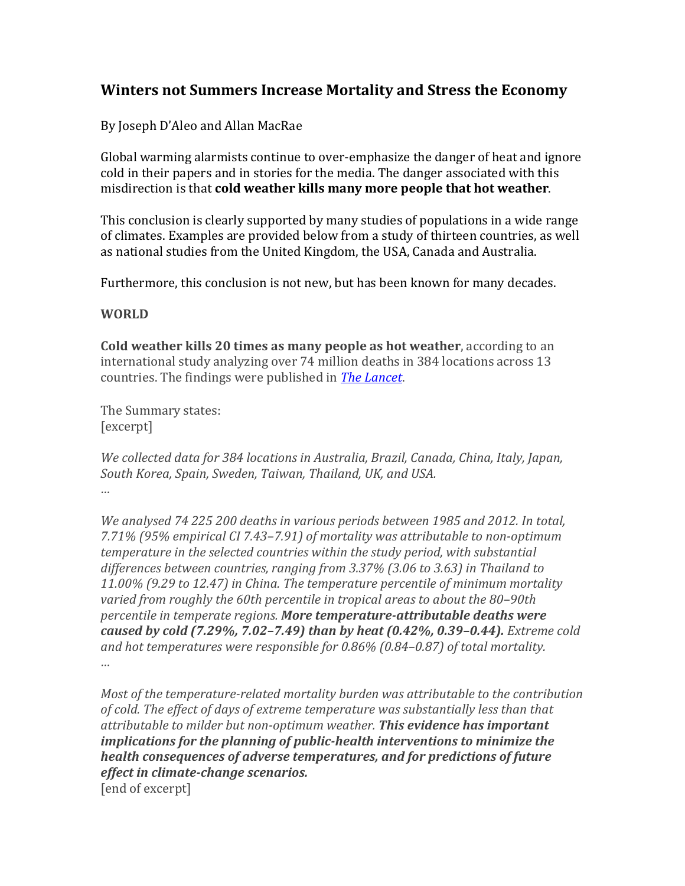# **Winters not Summers Increase Mortality and Stress the Economy**

By Joseph D'Aleo and Allan MacRae

Global warming alarmists continue to over-emphasize the danger of heat and ignore cold in their papers and in stories for the media. The danger associated with this misdirection is that **cold weather kills many more people that hot weather**.

This conclusion is clearly supported by many studies of populations in a wide range of climates. Examples are provided below from a study of thirteen countries, as well as national studies from the United Kingdom, the USA, Canada and Australia.

Furthermore, this conclusion is not new, but has been known for many decades.

#### **WORLD**

**Cold weather kills 20 times as many people as hot weather**, according to an international study analyzing over 74 million deaths in 384 locations across 13 countries. The findings were published in *The [Lancet](http://www.thelancet.com/journals/lancet/article/PIIS0140-6736(14)62114-0/abstract)*.

The Summary states: [excerpt]

*We collected data for 384 locations in Australia, Brazil, Canada, China, Italy, Japan, South Korea, Spain, Sweden, Taiwan, Thailand, UK, and USA. …*

*We analysed 74 225 200 deaths in various periods between 1985 and 2012. In total, 7.71% (95% empirical CI 7.43–7.91) of mortality was attributable to non-optimum temperature in the selected countries within the study period, with substantial differences between countries, ranging from 3.37% (3.06 to 3.63) in Thailand to 11.00% (9.29 to 12.47) in China. The temperature percentile of minimum mortality varied from roughly the 60th percentile in tropical areas to about the 80–90th percentile in temperate regions. More temperature-attributable deaths were caused by cold (7.29%, 7.02–7.49) than by heat (0.42%, 0.39–0.44). Extreme cold and hot temperatures were responsible for 0.86% (0.84–0.87) of total mortality. …*

*Most of the temperature-related mortality burden was attributable to the contribution of cold. The effect of days of extreme temperature was substantially less than that attributable to milder but non-optimum weather. This evidence has important implications for the planning of public-health interventions to minimize the health consequences of adverse temperatures, and for predictions of future effect in climate-change scenarios.* [end of excerpt]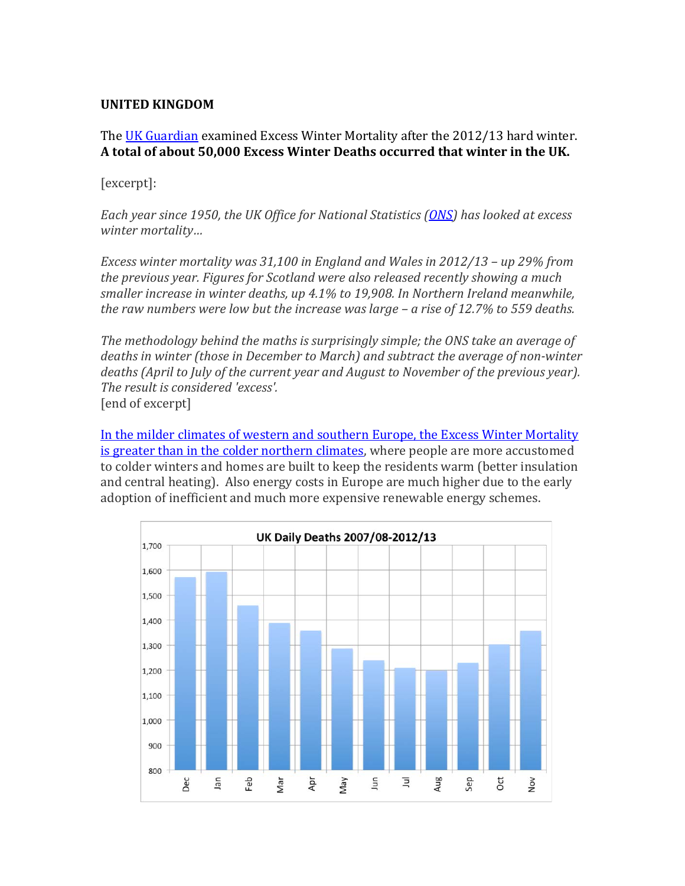#### **UNITED KINGDOM**

The [UK Guardian](http://www.theguardian.com/news/datablog/2013/nov/26/excess-winter-deaths-up-29) examined Excess Winter Mortality after the 2012/13 hard winter. **A total of about 50,000 Excess Winter Deaths occurred that winter in the UK.**

## [excerpt]:

*Each year since 1950, the UK Office for National Statistics [\(ONS\)](http://www.ons.gov.uk/ons/rel/subnational-health2/excess-winter-mortality-in-england-and-wales/2013-14--provisional--and-2012-13--final-/stb.html#tab-Excess-Winter-Mortality--EWM--and-temperature-) has looked at excess winter mortality…* 

*Excess winter mortality was 31,100 in England and Wales in 2012/13 – up 29% from the previous year. Figures for Scotland were also released recently showing a much smaller increase in winter deaths, up 4.1% to 19,908. In Northern Ireland meanwhile, the raw numbers were low but the increase was large – a rise of 12.7% to 559 deaths.* 

*The methodology behind the maths is surprisingly simple; the ONS take an average of deaths in winter (those in December to March) and subtract the average of non-winter deaths (April to July of the current year and August to November of the previous year). The result is considered 'excess'.*  [end of excerpt]

In the milder climates of [western and southern Europe, the Excess Winter Mortality](http://jech.bmj.com/content/57/10/784.full)  [is greater than in the colder northern climates,](http://jech.bmj.com/content/57/10/784.full) where people are more accustomed to colder winters and homes are built to keep the residents warm (better insulation and central heating). Also energy costs in Europe are much higher due to the early adoption of inefficient and much more expensive renewable energy schemes.

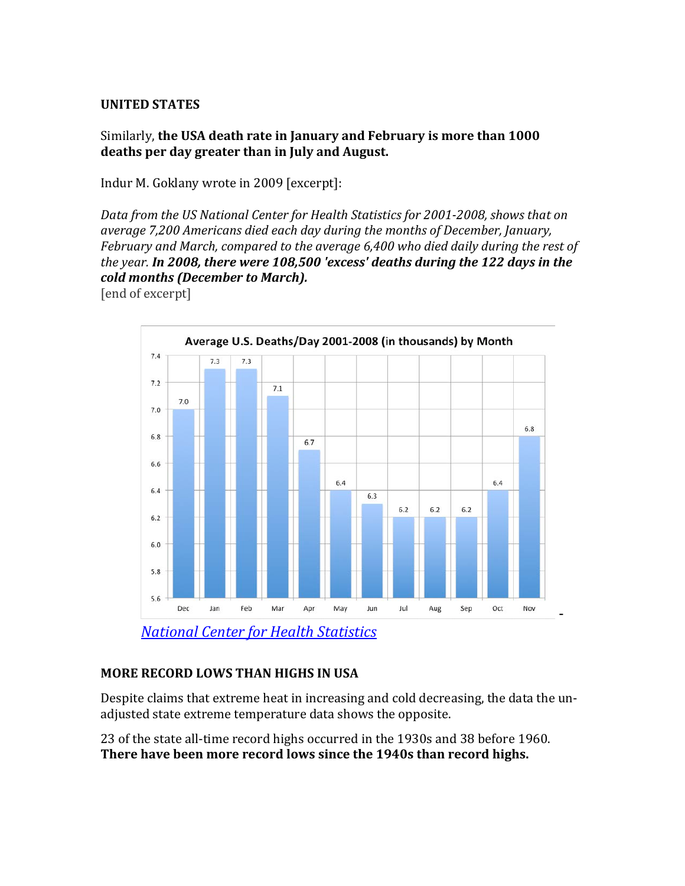#### **UNITED STATES**

Similarly, **the USA death rate in January and February is more than 1000 deaths per day greater than in July and August.**

Indur M. Goklany wrote in 2009 [excerpt]:

*Data from the US National Center for Health Statistics for 2001-2008, shows that on average 7,200 Americans died each day during the months of December, January, February and March, compared to the average 6,400 who died daily during the rest of the year. In 2008, there were 108,500 'excess' deaths during the 122 days in the cold months (December to March).*

[end of excerpt]



## **MORE RECORD LOWS THAN HIGHS IN USA**

Despite claims that extreme heat in increasing and cold decreasing, the data the unadjusted state extreme temperature data shows the opposite.

23 of the state all-time record highs occurred in the 1930s and 38 before 1960. **There have been more record lows since the 1940s than record highs.**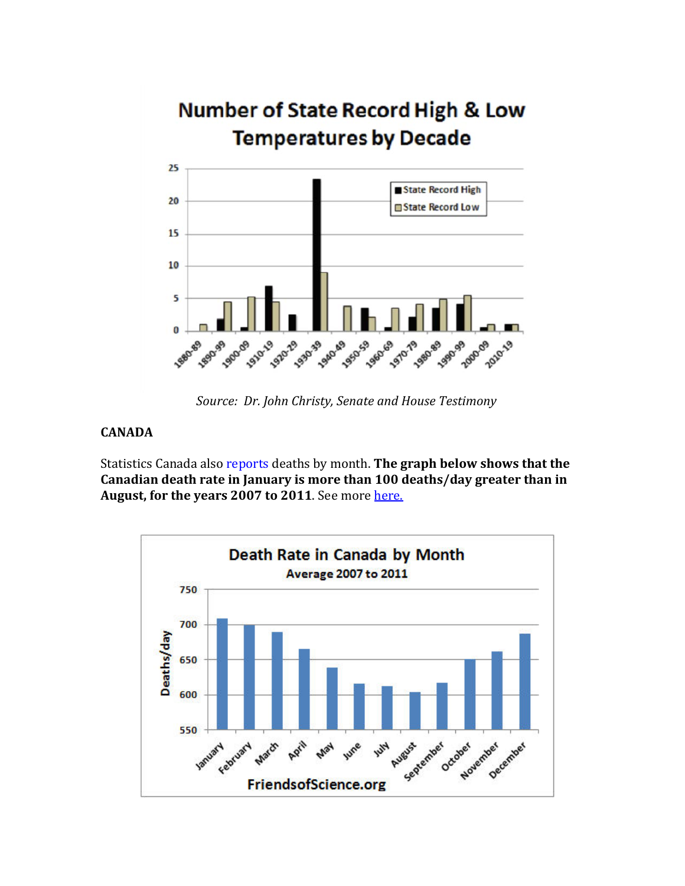

 *Source: Dr. John Christy, Senate and House Testimony*

## **CANADA**

Statistics Canada also [reports](http://www5.statcan.gc.ca/cansim/a05?lang=eng&id=1020502) deaths by month. **The graph below shows that the Canadian death rate in January is more than 100 deaths/day greater than in**  August, for the years 2007 to 2011. See mor[e here.](http://www.friendsofscience.org/index.php?id=712#Health)